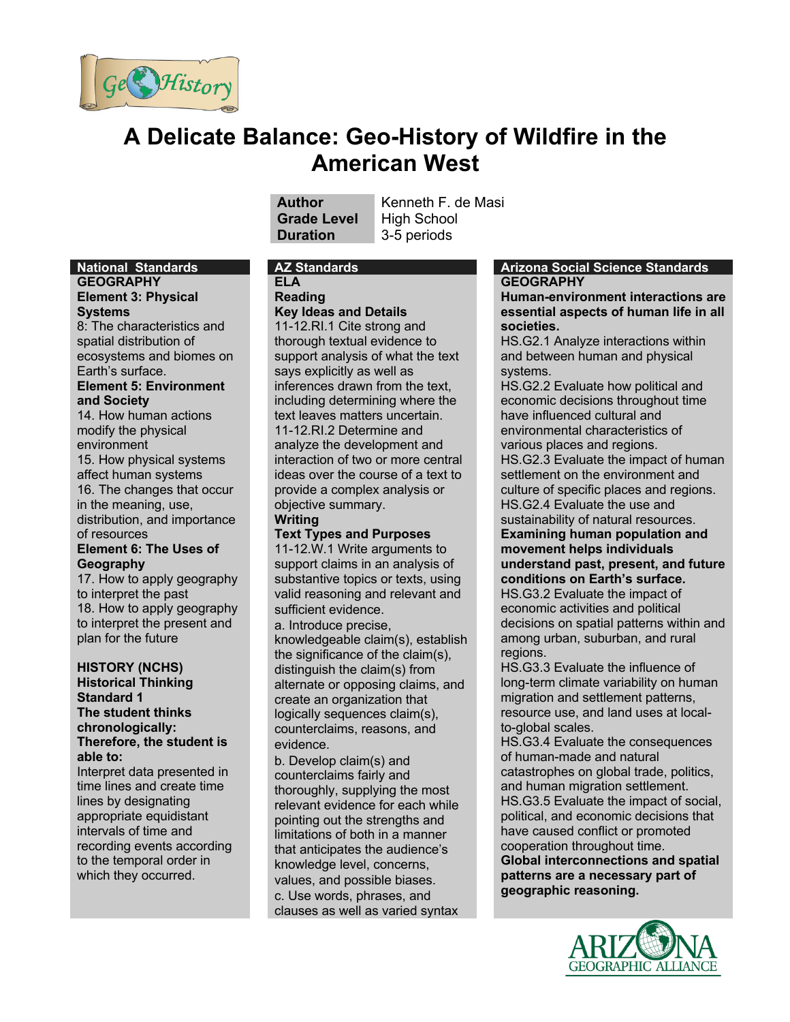

# **A Delicate Balance: Geo-History of Wildfire in the American West**

# **Grade Level** High School **Duration** 3-5 periods

**Author** Kenneth F. de Masi

# **ELA**

**Reading**

**Key Ideas and Details** 11-12.RI.1 Cite strong and thorough textual evidence to support analysis of what the text says explicitly as well as inferences drawn from the text, including determining where the text leaves matters uncertain. 11-12.RI.2 Determine and analyze the development and interaction of two or more central ideas over the course of a text to provide a complex analysis or objective summary. **Writing**

**Text Types and Purposes**

11-12.W.1 Write arguments to support claims in an analysis of substantive topics or texts, using valid reasoning and relevant and sufficient evidence.

a. Introduce precise, knowledgeable claim(s), establish the significance of the claim(s), distinguish the claim(s) from alternate or opposing claims, and create an organization that logically sequences claim(s), counterclaims, reasons, and evidence.

b. Develop claim(s) and counterclaims fairly and thoroughly, supplying the most relevant evidence for each while pointing out the strengths and limitations of both in a manner that anticipates the audience's knowledge level, concerns, values, and possible biases. c. Use words, phrases, and clauses as well as varied syntax

#### **National Standards AZ Standards Arizona Social Science Standards GEOGRAPHY**

**Human-environment interactions are essential aspects of human life in all societies.**

HS.G2.1 Analyze interactions within and between human and physical systems.

HS.G2.2 Evaluate how political and economic decisions throughout time have influenced cultural and environmental characteristics of various places and regions. HS.G2.3 Evaluate the impact of human settlement on the environment and culture of specific places and regions. HS.G2.4 Evaluate the use and sustainability of natural resources. **Examining human population and movement helps individuals understand past, present, and future conditions on Earth's surface.** HS.G3.2 Evaluate the impact of economic activities and political decisions on spatial patterns within and

among urban, suburban, and rural regions.

HS.G3.3 Evaluate the influence of long-term climate variability on human migration and settlement patterns, resource use, and land uses at localto-global scales.

HS.G3.4 Evaluate the consequences of human-made and natural catastrophes on global trade, politics, and human migration settlement. HS.G3.5 Evaluate the impact of social, political, and economic decisions that have caused conflict or promoted cooperation throughout time. **Global interconnections and spatial patterns are a necessary part of** 

**geographic reasoning.**

**GEOGRAPHIC ALLIANCE** 

# **GEOGRAPHY**

#### **Element 3: Physical Systems**

8: The characteristics and spatial distribution of ecosystems and biomes on Earth's surface.

#### **Element 5: Environment and Society**

14. How human actions modify the physical environment 15. How physical systems affect human systems 16. The changes that occur

in the meaning, use, distribution, and importance of resources

#### **Element 6: The Uses of Geography**

17. How to apply geography to interpret the past 18. How to apply geography to interpret the present and plan for the future

#### **HISTORY (NCHS) Historical Thinking Standard 1 The student thinks**

**chronologically: Therefore, the student is able to:**

Interpret data presented in time lines and create time lines by designating appropriate equidistant intervals of time and recording events according to the temporal order in which they occurred.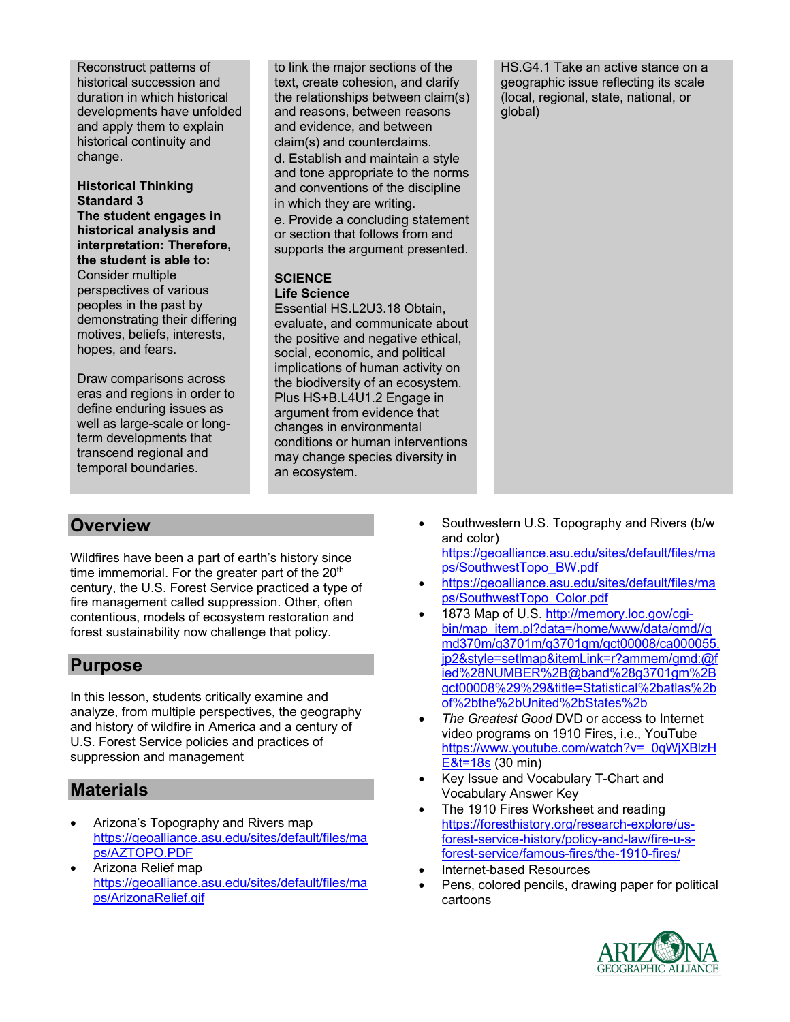Reconstruct patterns of historical succession and duration in which historical developments have unfolded and apply them to explain historical continuity and change.

#### **Historical Thinking Standard 3**

**The student engages in historical analysis and interpretation: Therefore, the student is able to:** Consider multiple perspectives of various peoples in the past by demonstrating their differing motives, beliefs, interests, hopes, and fears.

Draw comparisons across eras and regions in order to define enduring issues as well as large-scale or longterm developments that transcend regional and temporal boundaries.

to link the major sections of the text, create cohesion, and clarify the relationships between claim(s) and reasons, between reasons and evidence, and between claim(s) and counterclaims. d. Establish and maintain a style and tone appropriate to the norms and conventions of the discipline in which they are writing.

e. Provide a concluding statement or section that follows from and supports the argument presented.

# **SCIENCE**

#### **Life Science**

Essential HS.L2U3.18 Obtain, evaluate, and communicate about the positive and negative ethical, social, economic, and political implications of human activity on the biodiversity of an ecosystem. Plus HS+B.L4U1.2 Engage in argument from evidence that changes in environmental conditions or human interventions may change species diversity in an ecosystem.

HS.G4.1 Take an active stance on a geographic issue reflecting its scale (local, regional, state, national, or global)

- Southwestern U.S. Topography and Rivers (b/w and color) https://geoalliance.asu.edu/sites/default/files/ma
- ps/SouthwestTopo\_BW.pdf • https://geoalliance.asu.edu/sites/default/files/ma ps/SouthwestTopo\_Color.pdf
- 1873 Map of U.S. http://memory.loc.gov/cgibin/map\_item.pl?data=/home/www/data/gmd//g md370m/g3701m/g3701gm/gct00008/ca000055. jp2&style=setlmap&itemLink=r?ammem/gmd:@f ied%28NUMBER%2B@band%28g3701gm%2B gct00008%29%29&title=Statistical%2batlas%2b of%2bthe%2bUnited%2bStates%2b
- *The Greatest Good* DVD or access to Internet video programs on 1910 Fires, i.e., YouTube https://www.youtube.com/watch?v=\_0qWjXBlzH E&t=18s (30 min)
- Key Issue and Vocabulary T-Chart and Vocabulary Answer Key
- The 1910 Fires Worksheet and reading https://foresthistory.org/research-explore/usforest-service-history/policy-and-law/fire-u-sforest-service/famous-fires/the-1910-fires/
- Internet-based Resources
- Pens, colored pencils, drawing paper for political cartoons



# **Overview**

Wildfires have been a part of earth's history since time immemorial. For the greater part of the  $20<sup>th</sup>$ century, the U.S. Forest Service practiced a type of fire management called suppression. Other, often contentious, models of ecosystem restoration and forest sustainability now challenge that policy.

# **Purpose**

In this lesson, students critically examine and analyze, from multiple perspectives, the geography and history of wildfire in America and a century of U.S. Forest Service policies and practices of suppression and management

# **Materials**

- Arizona's Topography and Rivers map https://geoalliance.asu.edu/sites/default/files/ma ps/AZTOPO.PDF
- Arizona Relief map https://geoalliance.asu.edu/sites/default/files/ma ps/ArizonaRelief.gif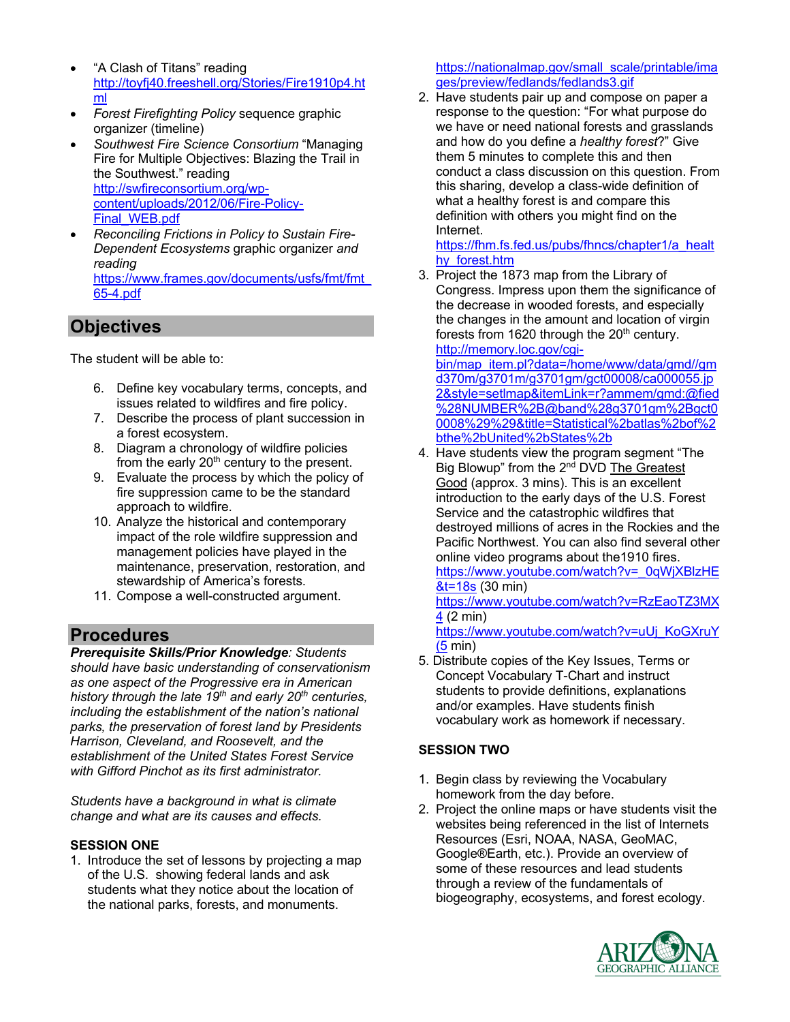- "A Clash of Titans" reading http://toyfj40.freeshell.org/Stories/Fire1910p4.ht ml
- *Forest Firefighting Policy* sequence graphic organizer (timeline)
- *Southwest Fire Science Consortium* "Managing Fire for Multiple Objectives: Blazing the Trail in the Southwest." reading http://swfireconsortium.org/wpcontent/uploads/2012/06/Fire-Policy-Final\_WEB.pdf
- *Reconciling Frictions in Policy to Sustain Fire-Dependent Ecosystems* graphic organizer *and reading*  https://www.frames.gov/documents/usfs/fmt/fmt\_

65-4.pdf

**Objectives**

The student will be able to:

- 6. Define key vocabulary terms, concepts, and issues related to wildfires and fire policy.
- 7. Describe the process of plant succession in a forest ecosystem.
- 8. Diagram a chronology of wildfire policies from the early  $20<sup>th</sup>$  century to the present.
- 9. Evaluate the process by which the policy of fire suppression came to be the standard approach to wildfire.
- 10. Analyze the historical and contemporary impact of the role wildfire suppression and management policies have played in the maintenance, preservation, restoration, and stewardship of America's forests.
- 11. Compose a well-constructed argument.

# **Procedures**

*Prerequisite Skills/Prior Knowledge: Students should have basic understanding of conservationism as one aspect of the Progressive era in American history through the late 19th and early 20th centuries, including the establishment of the nation's national parks, the preservation of forest land by Presidents Harrison, Cleveland, and Roosevelt, and the establishment of the United States Forest Service with Gifford Pinchot as its first administrator.*

*Students have a background in what is climate change and what are its causes and effects.*

#### **SESSION ONE**

1. Introduce the set of lessons by projecting a map of the U.S. showing federal lands and ask students what they notice about the location of the national parks, forests, and monuments.

https://nationalmap.gov/small\_scale/printable/ima ges/preview/fedlands/fedlands3.gif

2. Have students pair up and compose on paper a response to the question: "For what purpose do we have or need national forests and grasslands and how do you define a *healthy forest*?" Give them 5 minutes to complete this and then conduct a class discussion on this question. From this sharing, develop a class-wide definition of what a healthy forest is and compare this definition with others you might find on the Internet.

https://fhm.fs.fed.us/pubs/fhncs/chapter1/a\_healt hy\_forest.htm

3. Project the 1873 map from the Library of Congress. Impress upon them the significance of the decrease in wooded forests, and especially the changes in the amount and location of virgin forests from 1620 through the  $20<sup>th</sup>$  century. http://memory.loc.gov/cgi-

bin/map\_item.pl?data=/home/www/data/gmd//gm d370m/g3701m/g3701gm/gct00008/ca000055.jp 2&style=setlmap&itemLink=r?ammem/gmd:@fied %28NUMBER%2B@band%28g3701gm%2Bgct0 0008%29%29&title=Statistical%2batlas%2bof%2 bthe%2bUnited%2bStates%2b

4. Have students view the program segment "The Big Blowup" from the 2<sup>nd</sup> DVD The Greatest Good (approx. 3 mins). This is an excellent introduction to the early days of the U.S. Forest Service and the catastrophic wildfires that destroyed millions of acres in the Rockies and the Pacific Northwest. You can also find several other online video programs about the1910 fires. https://www.youtube.com/watch?v=\_0qWjXBlzHE &t=18s (30 min)

https://www.youtube.com/watch?v=RzEaoTZ3MX 4 (2 min)

https://www.youtube.com/watch?v=uUj\_KoGXruY (5 min)

5. Distribute copies of the Key Issues, Terms or Concept Vocabulary T-Chart and instruct students to provide definitions, explanations and/or examples. Have students finish vocabulary work as homework if necessary.

#### **SESSION TWO**

- 1. Begin class by reviewing the Vocabulary homework from the day before.
- 2. Project the online maps or have students visit the websites being referenced in the list of Internets Resources (Esri, NOAA, NASA, GeoMAC, Google®Earth, etc.). Provide an overview of some of these resources and lead students through a review of the fundamentals of biogeography, ecosystems, and forest ecology.

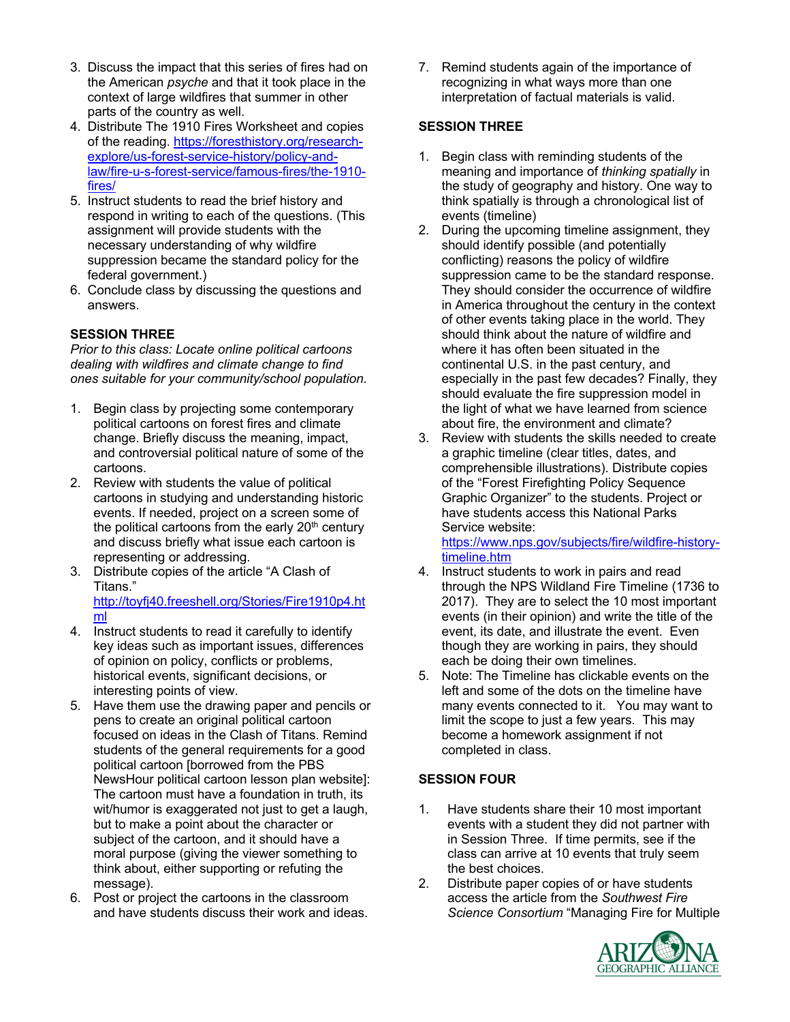- 3. Discuss the impact that this series of fires had on the American *psyche* and that it took place in the context of large wildfires that summer in other parts of the country as well.
- 4. Distribute The 1910 Fires Worksheet and copies of the reading. https://foresthistory.org/researchexplore/us-forest-service-history/policy-andlaw/fire-u-s-forest-service/famous-fires/the-1910 fires/
- 5. Instruct students to read the brief history and respond in writing to each of the questions. (This assignment will provide students with the necessary understanding of why wildfire suppression became the standard policy for the federal government.)
- 6. Conclude class by discussing the questions and answers.

#### **SESSION THREE**

*Prior to this class: Locate online political cartoons dealing with wildfires and climate change to find ones suitable for your community/school population.*

- 1. Begin class by projecting some contemporary political cartoons on forest fires and climate change. Briefly discuss the meaning, impact, and controversial political nature of some of the cartoons.
- 2. Review with students the value of political cartoons in studying and understanding historic events. If needed, project on a screen some of the political cartoons from the early  $20<sup>th</sup>$  century and discuss briefly what issue each cartoon is representing or addressing.
- 3. Distribute copies of the article "A Clash of Titans." http://toyfj40.freeshell.org/Stories/Fire1910p4.ht
- ml 4. Instruct students to read it carefully to identify key ideas such as important issues, differences of opinion on policy, conflicts or problems, historical events, significant decisions, or
- interesting points of view. 5. Have them use the drawing paper and pencils or pens to create an original political cartoon focused on ideas in the Clash of Titans. Remind students of the general requirements for a good political cartoon [borrowed from the PBS NewsHour political cartoon lesson plan website]: The cartoon must have a foundation in truth, its wit/humor is exaggerated not just to get a laugh, but to make a point about the character or subject of the cartoon, and it should have a moral purpose (giving the viewer something to think about, either supporting or refuting the message).
- 6. Post or project the cartoons in the classroom and have students discuss their work and ideas.

7. Remind students again of the importance of recognizing in what ways more than one interpretation of factual materials is valid.

#### **SESSION THREE**

- 1. Begin class with reminding students of the meaning and importance of *thinking spatially* in the study of geography and history. One way to think spatially is through a chronological list of events (timeline)
- 2. During the upcoming timeline assignment, they should identify possible (and potentially conflicting) reasons the policy of wildfire suppression came to be the standard response. They should consider the occurrence of wildfire in America throughout the century in the context of other events taking place in the world. They should think about the nature of wildfire and where it has often been situated in the continental U.S. in the past century, and especially in the past few decades? Finally, they should evaluate the fire suppression model in the light of what we have learned from science about fire, the environment and climate?
- 3. Review with students the skills needed to create a graphic timeline (clear titles, dates, and comprehensible illustrations). Distribute copies of the "Forest Firefighting Policy Sequence Graphic Organizer" to the students. Project or have students access this National Parks Service website:

https://www.nps.gov/subjects/fire/wildfire-historytimeline.htm

- 4. Instruct students to work in pairs and read through the NPS Wildland Fire Timeline (1736 to 2017). They are to select the 10 most important events (in their opinion) and write the title of the event, its date, and illustrate the event. Even though they are working in pairs, they should each be doing their own timelines.
- 5. Note: The Timeline has clickable events on the left and some of the dots on the timeline have many events connected to it. You may want to limit the scope to just a few years. This may become a homework assignment if not completed in class.

#### **SESSION FOUR**

- 1. Have students share their 10 most important events with a student they did not partner with in Session Three. If time permits, see if the class can arrive at 10 events that truly seem the best choices.
- 2. Distribute paper copies of or have students access the article from the *Southwest Fire Science Consortium* "Managing Fire for Multiple

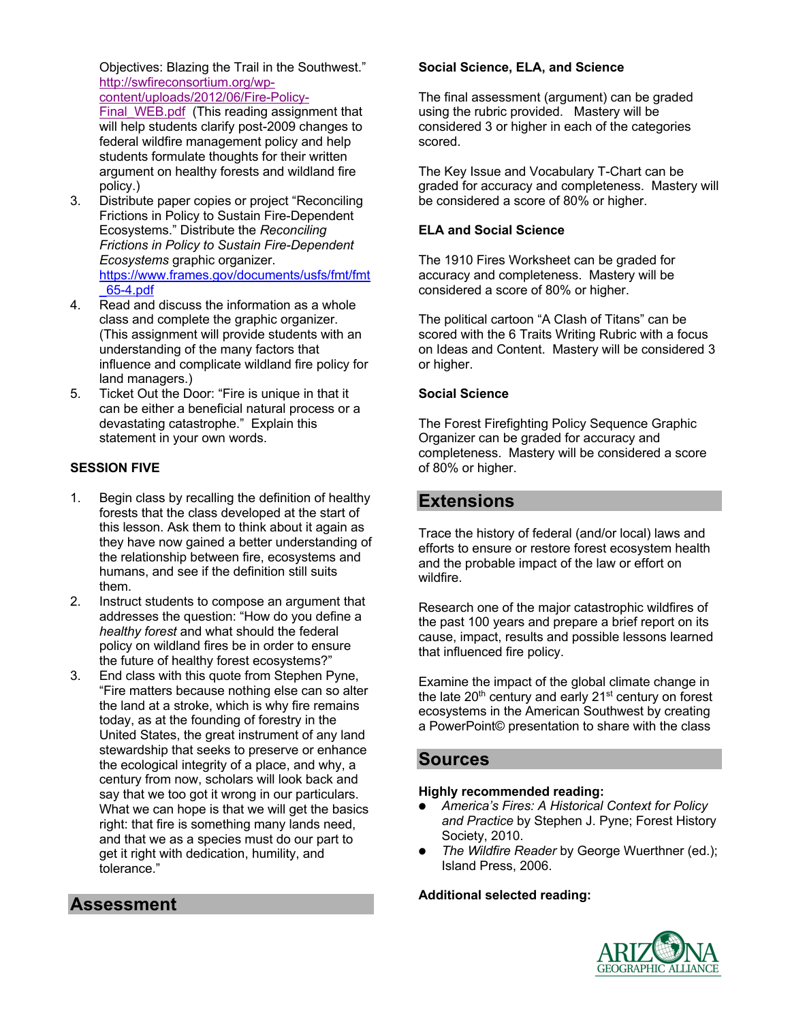Objectives: Blazing the Trail in the Southwest." http://swfireconsortium.org/wpcontent/uploads/2012/06/Fire-Policy-

Final WEB.pdf (This reading assignment that will help students clarify post-2009 changes to federal wildfire management policy and help students formulate thoughts for their written argument on healthy forests and wildland fire policy.)

- 3. Distribute paper copies or project "Reconciling Frictions in Policy to Sustain Fire-Dependent Ecosystems." Distribute the *Reconciling Frictions in Policy to Sustain Fire-Dependent Ecosystems* graphic organizer. https://www.frames.gov/documents/usfs/fmt/fmt \_65-4.pdf
- 4. Read and discuss the information as a whole class and complete the graphic organizer. (This assignment will provide students with an understanding of the many factors that influence and complicate wildland fire policy for land managers.)
- 5. Ticket Out the Door: "Fire is unique in that it can be either a beneficial natural process or a devastating catastrophe." Explain this statement in your own words.

#### **SESSION FIVE**

- 1. Begin class by recalling the definition of healthy forests that the class developed at the start of this lesson. Ask them to think about it again as they have now gained a better understanding of the relationship between fire, ecosystems and humans, and see if the definition still suits them.
- 2. Instruct students to compose an argument that addresses the question: "How do you define a *healthy forest* and what should the federal policy on wildland fires be in order to ensure the future of healthy forest ecosystems?"
- 3. End class with this quote from Stephen Pyne, "Fire matters because nothing else can so alter the land at a stroke, which is why fire remains today, as at the founding of forestry in the United States, the great instrument of any land stewardship that seeks to preserve or enhance the ecological integrity of a place, and why, a century from now, scholars will look back and say that we too got it wrong in our particulars. What we can hope is that we will get the basics right: that fire is something many lands need, and that we as a species must do our part to get it right with dedication, humility, and tolerance."

#### **Social Science, ELA, and Science**

The final assessment (argument) can be graded using the rubric provided. Mastery will be considered 3 or higher in each of the categories scored.

The Key Issue and Vocabulary T-Chart can be graded for accuracy and completeness. Mastery will be considered a score of 80% or higher.

#### **ELA and Social Science**

The 1910 Fires Worksheet can be graded for accuracy and completeness. Mastery will be considered a score of 80% or higher.

The political cartoon "A Clash of Titans" can be scored with the 6 Traits Writing Rubric with a focus on Ideas and Content. Mastery will be considered 3 or higher.

#### **Social Science**

The Forest Firefighting Policy Sequence Graphic Organizer can be graded for accuracy and completeness. Mastery will be considered a score of 80% or higher.

# **Extensions**

Trace the history of federal (and/or local) laws and efforts to ensure or restore forest ecosystem health and the probable impact of the law or effort on wildfire.

Research one of the major catastrophic wildfires of the past 100 years and prepare a brief report on its cause, impact, results and possible lessons learned that influenced fire policy.

Examine the impact of the global climate change in the late 20<sup>th</sup> century and early 21<sup>st</sup> century on forest ecosystems in the American Southwest by creating a PowerPoint© presentation to share with the class

### **Sources**

#### **Highly recommended reading:**

- **•** *America's Fires: A Historical Context for Policy and Practice* by Stephen J. Pyne; Forest History Society, 2010.
- **•** *The Wildfire Reader* by George Wuerthner (ed.); Island Press, 2006.

#### **Additional selected reading:**



### **Assessment**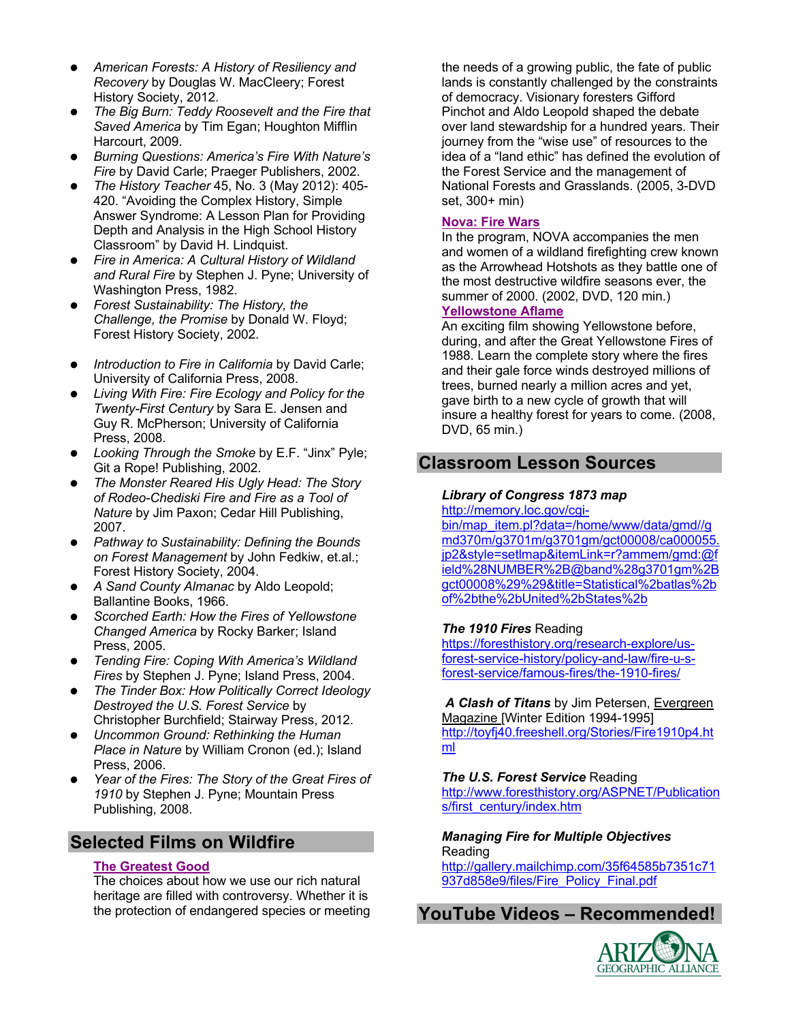- **•** *American Forests: A History of Resiliency and Recovery* by Douglas W. MacCleery; Forest History Society, 2012.
- **•** *The Big Burn: Teddy Roosevelt and the Fire that Saved America* by Tim Egan; Houghton Mifflin Harcourt, 2009.
- **•** *Burning Questions: America's Fire With Nature's Fire* by David Carle; Praeger Publishers, 2002.
- **•** *The History Teacher* 45, No. 3 (May 2012): 405- 420. "Avoiding the Complex History, Simple Answer Syndrome: A Lesson Plan for Providing Depth and Analysis in the High School History Classroom" by David H. Lindquist.
- **•** *Fire in America: A Cultural History of Wildland and Rural Fire* by Stephen J. Pyne; University of Washington Press, 1982.
- **•** *Forest Sustainability: The History, the Challenge, the Promise* by Donald W. Floyd; Forest History Society, 2002.
- **•** *Introduction to Fire in California* by David Carle; University of California Press, 2008.
- **•** *Living With Fire: Fire Ecology and Policy for the Twenty-First Century* by Sara E. Jensen and Guy R. McPherson; University of California Press, 2008.
- **•** *Looking Through the Smoke* by E.F. "Jinx" Pyle; Git a Rope! Publishing, 2002.
- **•** *The Monster Reared His Ugly Head: The Story of Rodeo-Chediski Fire and Fire as a Tool of Nature* by Jim Paxon; Cedar Hill Publishing, 2007.
- **•** *Pathway to Sustainability: Defining the Bounds on Forest Management* by John Fedkiw, et.al.; Forest History Society, 2004.
- **•** *A Sand County Almanac* by Aldo Leopold; Ballantine Books, 1966.
- **•** *Scorched Earth: How the Fires of Yellowstone Changed America* by Rocky Barker; Island Press, 2005.
- **•** *Tending Fire: Coping With America's Wildland Fires* by Stephen J. Pyne; Island Press, 2004.
- **•** *The Tinder Box: How Politically Correct Ideology Destroyed the U.S. Forest Service* by Christopher Burchfield; Stairway Press, 2012.
- **•** *Uncommon Ground: Rethinking the Human Place in Nature* by William Cronon (ed.); Island Press, 2006.
- **•** *Year of the Fires: The Story of the Great Fires of 1910* by Stephen J. Pyne; Mountain Press Publishing, 2008.

# **Selected Films on Wildfire**

#### **The Greatest Good**

The choices about how we use our rich natural heritage are filled with controversy. Whether it is the protection of endangered species or meeting

the needs of a growing public, the fate of public lands is constantly challenged by the constraints of democracy. Visionary foresters Gifford Pinchot and Aldo Leopold shaped the debate over land stewardship for a hundred years. Their journey from the "wise use" of resources to the idea of a "land ethic" has defined the evolution of the Forest Service and the management of National Forests and Grasslands. (2005, 3-DVD set, 300+ min)

#### **Nova: Fire Wars**

In the program, NOVA accompanies the men and women of a wildland firefighting crew known as the Arrowhead Hotshots as they battle one of the most destructive wildfire seasons ever, the summer of 2000. (2002, DVD, 120 min.) **Yellowstone Aflame**

An exciting film showing Yellowstone before, during, and after the Great Yellowstone Fires of 1988. Learn the complete story where the fires and their gale force winds destroyed millions of trees, burned nearly a million acres and yet, gave birth to a new cycle of growth that will insure a healthy forest for years to come. (2008, DVD, 65 min.)

# **Classroom Lesson Sources**

#### *Library of Congress 1873 map*

http://memory.loc.gov/cgi-

bin/map\_item.pl?data=/home/www/data/gmd//g md370m/g3701m/g3701gm/gct00008/ca000055. jp2&style=setlmap&itemLink=r?ammem/gmd:@f ield%28NUMBER%2B@band%28g3701gm%2B gct00008%29%29&title=Statistical%2batlas%2b of%2bthe%2bUnited%2bStates%2b

#### *The 1910 Fires* Reading

https://foresthistory.org/research-explore/usforest-service-history/policy-and-law/fire-u-sforest-service/famous-fires/the-1910-fires/

*A Clash of Titans* by Jim Petersen, Evergreen Magazine [Winter Edition 1994-1995] http://toyfj40.freeshell.org/Stories/Fire1910p4.ht ml

*The U.S. Forest Service* Reading http://www.foresthistory.org/ASPNET/Publication s/first\_century/index.htm

#### *Managing Fire for Multiple Objectives* Reading

http://gallery.mailchimp.com/35f64585b7351c71 937d858e9/files/Fire\_Policy\_Final.pdf

# **YouTube Videos – Recommended!**